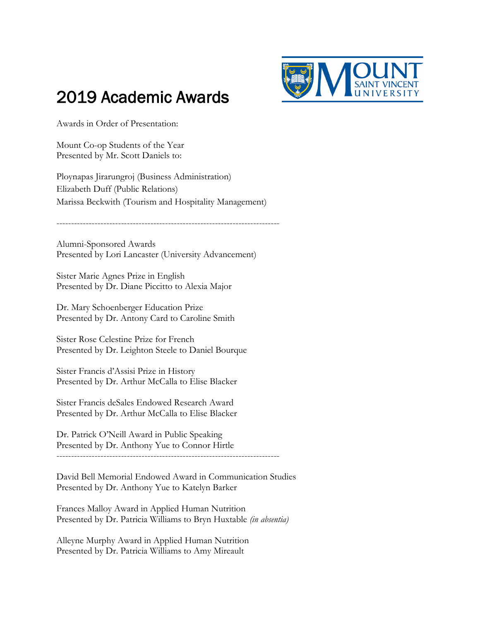

## 2019 Academic Awards

Awards in Order of Presentation:

Mount Co-op Students of the Year Presented by Mr. Scott Daniels to:

Ploynapas Jirarungroj (Business Administration) Elizabeth Duff (Public Relations) Marissa Beckwith (Tourism and Hospitality Management)

----------------------------------------------------------------------------

Alumni-Sponsored Awards Presented by Lori Lancaster (University Advancement)

Sister Marie Agnes Prize in English Presented by Dr. Diane Piccitto to Alexia Major

Dr. Mary Schoenberger Education Prize Presented by Dr. Antony Card to Caroline Smith

Sister Rose Celestine Prize for French Presented by Dr. Leighton Steele to Daniel Bourque

Sister Francis d'Assisi Prize in History Presented by Dr. Arthur McCalla to Elise Blacker

Sister Francis deSales Endowed Research Award Presented by Dr. Arthur McCalla to Elise Blacker

Dr. Patrick O'Neill Award in Public Speaking Presented by Dr. Anthony Yue to Connor Hirtle ----------------------------------------------------------------------------

David Bell Memorial Endowed Award in Communication Studies Presented by Dr. Anthony Yue to Katelyn Barker

Frances Malloy Award in Applied Human Nutrition Presented by Dr. Patricia Williams to Bryn Huxtable *(in absentia)* 

Alleyne Murphy Award in Applied Human Nutrition Presented by Dr. Patricia Williams to Amy Mireault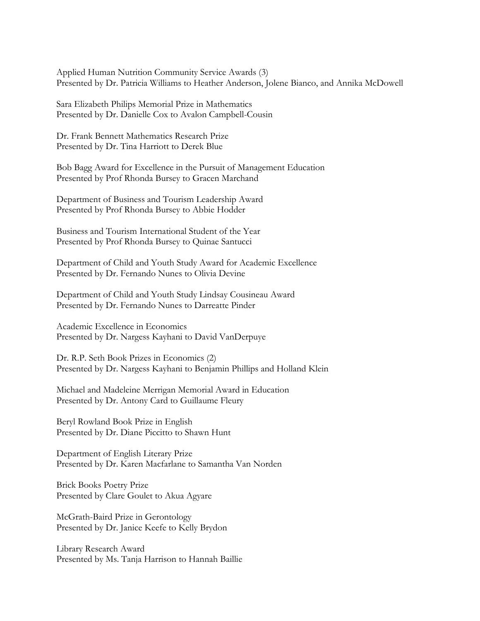Applied Human Nutrition Community Service Awards (3) Presented by Dr. Patricia Williams to Heather Anderson, Jolene Bianco, and Annika McDowell

Sara Elizabeth Philips Memorial Prize in Mathematics Presented by Dr. Danielle Cox to Avalon Campbell-Cousin

Dr. Frank Bennett Mathematics Research Prize Presented by Dr. Tina Harriott to Derek Blue

Bob Bagg Award for Excellence in the Pursuit of Management Education Presented by Prof Rhonda Bursey to Gracen Marchand

Department of Business and Tourism Leadership Award Presented by Prof Rhonda Bursey to Abbie Hodder

Business and Tourism International Student of the Year Presented by Prof Rhonda Bursey to Quinae Santucci

Department of Child and Youth Study Award for Academic Excellence Presented by Dr. Fernando Nunes to Olivia Devine

Department of Child and Youth Study Lindsay Cousineau Award Presented by Dr. Fernando Nunes to Darreatte Pinder

Academic Excellence in Economics Presented by Dr. Nargess Kayhani to David VanDerpuye

Dr. R.P. Seth Book Prizes in Economics (2) Presented by Dr. Nargess Kayhani to Benjamin Phillips and Holland Klein

Michael and Madeleine Merrigan Memorial Award in Education Presented by Dr. Antony Card to Guillaume Fleury

Beryl Rowland Book Prize in English Presented by Dr. Diane Piccitto to Shawn Hunt

Department of English Literary Prize Presented by Dr. Karen Macfarlane to Samantha Van Norden

Brick Books Poetry Prize Presented by Clare Goulet to Akua Agyare

McGrath-Baird Prize in Gerontology Presented by Dr. Janice Keefe to Kelly Brydon

Library Research Award Presented by Ms. Tanja Harrison to Hannah Baillie